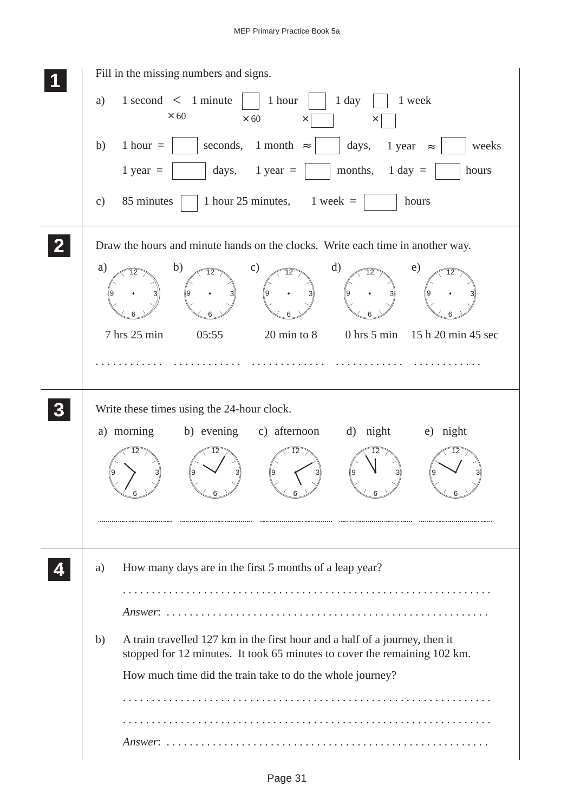| Fill in the missing numbers and signs.                                                                                                                         |
|----------------------------------------------------------------------------------------------------------------------------------------------------------------|
| $1$ second $\lt$ 1 minute<br>1 hour<br>1 week<br>1 day<br>a)<br>$\times$ 60<br>$\times 60$<br>$\times$<br>×                                                    |
| 1 hour $=$<br>seconds,<br>1 month $\approx$<br>b)<br>days,<br>1 year $\approx$<br>weeks                                                                        |
| months,<br>1 year $=$<br>days, $1 \text{ year} =$<br>$1$ day $=$<br>hours                                                                                      |
| 85 minutes<br>1 hour 25 minutes, $1$ week =<br>hours<br>$\mathbf{c})$                                                                                          |
| Draw the hours and minute hands on the clocks. Write each time in another way.                                                                                 |
| b)<br>a)<br>$\mathbf{c})$<br>$\mathbf{d}$<br>e)<br>$\overline{12}$<br>12<br>12<br>12<br>12                                                                     |
| 7 hrs 25 min<br>05:55<br>$20 \text{ min}$ to $8$<br>$0$ hrs $5$ min<br>15 h 20 min 45 sec                                                                      |
|                                                                                                                                                                |
| Write these times using the 24-hour clock.                                                                                                                     |
| a) morning<br>b) evening c) afternoon<br>d) night<br>e) night                                                                                                  |
| 12                                                                                                                                                             |
|                                                                                                                                                                |
| How many days are in the first 5 months of a leap year?<br>a)                                                                                                  |
|                                                                                                                                                                |
|                                                                                                                                                                |
| A train travelled 127 km in the first hour and a half of a journey, then it<br>b)<br>stopped for 12 minutes. It took 65 minutes to cover the remaining 102 km. |
| How much time did the train take to do the whole journey?                                                                                                      |
|                                                                                                                                                                |
|                                                                                                                                                                |
|                                                                                                                                                                |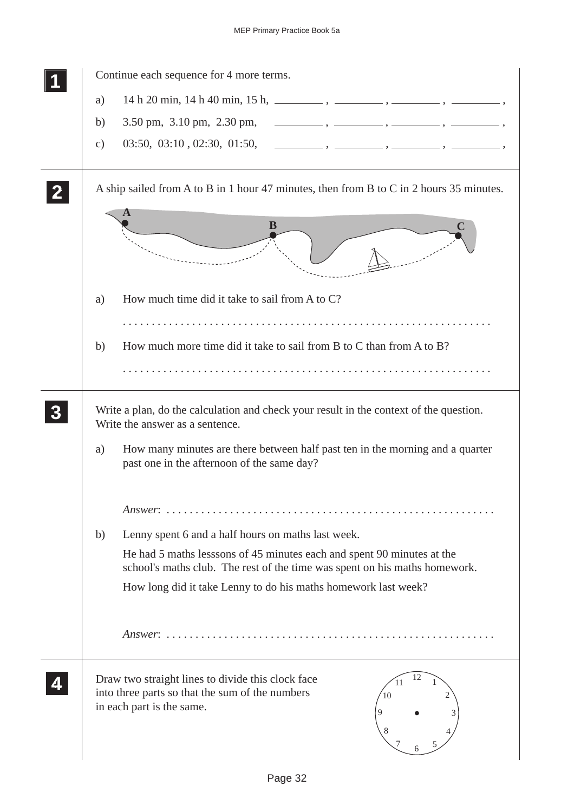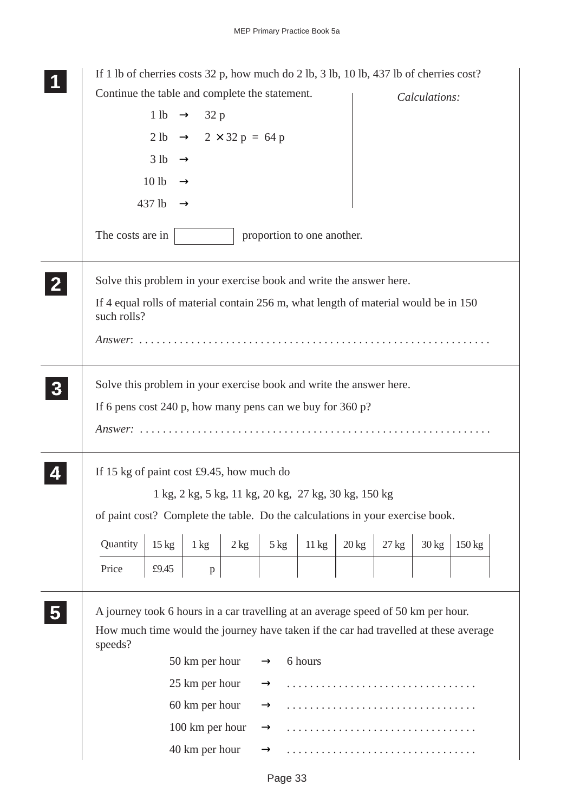|                | If 1 lb of cherries costs $32 p$ , how much do 2 lb, 3 lb, 10 lb, 437 lb of cherries cost?         |                                   |                                                                 |      |                                                      |                 |                 |                 |                 |                  |  |
|----------------|----------------------------------------------------------------------------------------------------|-----------------------------------|-----------------------------------------------------------------|------|------------------------------------------------------|-----------------|-----------------|-----------------|-----------------|------------------|--|
|                | Continue the table and complete the statement.                                                     |                                   |                                                                 |      |                                                      |                 |                 |                 | Calculations:   |                  |  |
|                |                                                                                                    |                                   | 1 lb $\rightarrow$ 32 p                                         |      |                                                      |                 |                 |                 |                 |                  |  |
|                |                                                                                                    |                                   | $2 \text{ lb} \rightarrow 2 \times 32 \text{ p} = 64 \text{ p}$ |      |                                                      |                 |                 |                 |                 |                  |  |
|                |                                                                                                    | $3 lb \rightarrow$                |                                                                 |      |                                                      |                 |                 |                 |                 |                  |  |
|                |                                                                                                    | 10 <sub>1b</sub><br>$\rightarrow$ |                                                                 |      |                                                      |                 |                 |                 |                 |                  |  |
|                |                                                                                                    | 437 lb<br>$\rightarrow$           |                                                                 |      |                                                      |                 |                 |                 |                 |                  |  |
|                | The costs are in                                                                                   |                                   |                                                                 |      | proportion to one another.                           |                 |                 |                 |                 |                  |  |
| 2 <sub>1</sub> | Solve this problem in your exercise book and write the answer here.                                |                                   |                                                                 |      |                                                      |                 |                 |                 |                 |                  |  |
|                | If 4 equal rolls of material contain 256 m, what length of material would be in 150<br>such rolls? |                                   |                                                                 |      |                                                      |                 |                 |                 |                 |                  |  |
|                |                                                                                                    |                                   |                                                                 |      |                                                      |                 |                 |                 |                 |                  |  |
| 3 <sup>1</sup> | Solve this problem in your exercise book and write the answer here.                                |                                   |                                                                 |      |                                                      |                 |                 |                 |                 |                  |  |
|                | If 6 pens cost 240 p, how many pens can we buy for 360 p?                                          |                                   |                                                                 |      |                                                      |                 |                 |                 |                 |                  |  |
|                |                                                                                                    |                                   |                                                                 |      |                                                      |                 |                 |                 |                 |                  |  |
|                | If 15 kg of paint cost $£9.45$ , how much do                                                       |                                   |                                                                 |      |                                                      |                 |                 |                 |                 |                  |  |
|                |                                                                                                    |                                   |                                                                 |      | 1 kg, 2 kg, 5 kg, 11 kg, 20 kg, 27 kg, 30 kg, 150 kg |                 |                 |                 |                 |                  |  |
|                | of paint cost? Complete the table. Do the calculations in your exercise book.                      |                                   |                                                                 |      |                                                      |                 |                 |                 |                 |                  |  |
|                | Quantity                                                                                           | $15 \text{ kg}$                   | $1 \text{ kg}$                                                  | 2 kg | $5 \text{ kg}$                                       | $11 \text{ kg}$ | $20 \text{ kg}$ | $27 \text{ kg}$ | $30 \text{ kg}$ | $150 \text{ kg}$ |  |
|                | Price                                                                                              | £9.45                             | p                                                               |      |                                                      |                 |                 |                 |                 |                  |  |
|                | A journey took 6 hours in a car travelling at an average speed of 50 km per hour.                  |                                   |                                                                 |      |                                                      |                 |                 |                 |                 |                  |  |
|                | How much time would the journey have taken if the car had travelled at these average<br>speeds?    |                                   |                                                                 |      |                                                      |                 |                 |                 |                 |                  |  |
|                |                                                                                                    |                                   | 50 km per hour                                                  |      | $\rightarrow$                                        | 6 hours         |                 |                 |                 |                  |  |
|                |                                                                                                    |                                   | 25 km per hour                                                  |      | $\rightarrow$                                        |                 |                 |                 |                 |                  |  |
|                |                                                                                                    |                                   | 60 km per hour                                                  |      | $\rightarrow$                                        |                 |                 |                 |                 |                  |  |
|                |                                                                                                    |                                   | 100 km per hour                                                 |      | $\rightarrow$                                        |                 |                 |                 |                 |                  |  |
|                |                                                                                                    |                                   | 40 km per hour                                                  |      |                                                      |                 |                 |                 |                 |                  |  |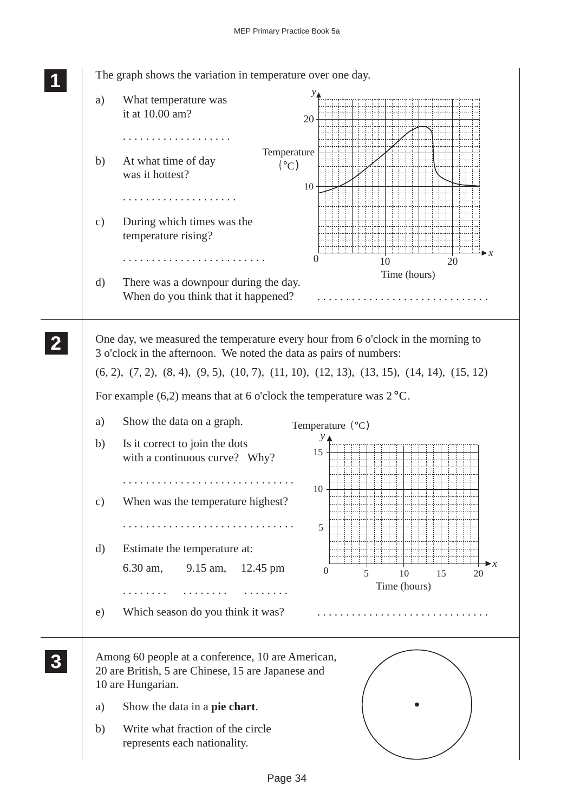$\overline{\phantom{a}}$ 

÷,  $\overline{\phantom{a}}$ 

 $\frac{1}{2}$ 

| a)            | What temperature was<br>it at 10.00 am?                                                                                      | 20 <sup>1</sup>                     |
|---------------|------------------------------------------------------------------------------------------------------------------------------|-------------------------------------|
| b)            | .<br>Temperature<br>At what time of day<br>(°C)<br>was it hottest?                                                           |                                     |
|               | .                                                                                                                            | 10 <sup>1</sup>                     |
| $\mathbf{c})$ | During which times was the<br>temperature rising?                                                                            |                                     |
|               |                                                                                                                              | $\theta$<br>10<br>20                |
| $\mathbf{d}$  | There was a downpour during the day.<br>When do you think that it happened?                                                  | Time (hours)                        |
|               | One day, we measured the temperature every hour from 6 o'clock in the morning to                                             |                                     |
|               | 3 o'clock in the afternoon. We noted the data as pairs of numbers:                                                           |                                     |
|               | $(6, 2), (7, 2), (8, 4), (9, 5), (10, 7), (11, 10), (12, 13), (13, 15), (14, 14), (15, 12)$                                  |                                     |
|               |                                                                                                                              |                                     |
|               | For example (6,2) means that at 6 o'clock the temperature was $2^{\circ}$ C.                                                 |                                     |
|               | Show the data on a graph.                                                                                                    |                                     |
| a)<br>b)      | Is it correct to join the dots<br>with a continuous curve? Why?                                                              | Temperature $(^{\circ}C)$<br>15     |
| $\mathbf{c})$ | When was the temperature highest?                                                                                            | 10                                  |
|               |                                                                                                                              | $5^{\circ}$                         |
| $\rm d)$      | Estimate the temperature at:                                                                                                 |                                     |
|               | 6.30 am,<br>$9.15$ am,<br>$12.45 \text{ pm}$                                                                                 | $\overline{0}$                      |
|               |                                                                                                                              | 5<br>15<br>10<br>20<br>Time (hours) |
|               |                                                                                                                              |                                     |
| e)            | Which season do you think it was?                                                                                            |                                     |
|               | Among 60 people at a conference, 10 are American,<br>20 are British, 5 are Chinese, 15 are Japanese and<br>10 are Hungarian. |                                     |
| a)            | Show the data in a pie chart.                                                                                                |                                     |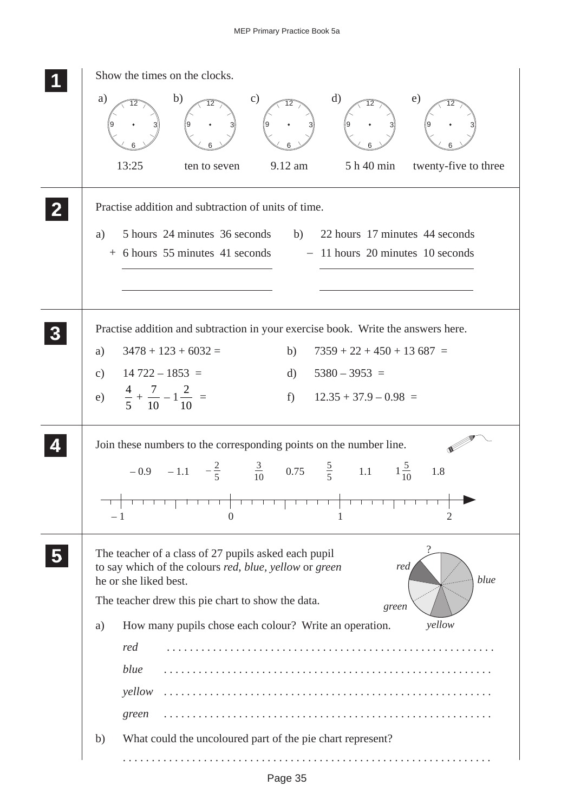## MEP Primary Practice Book 5a

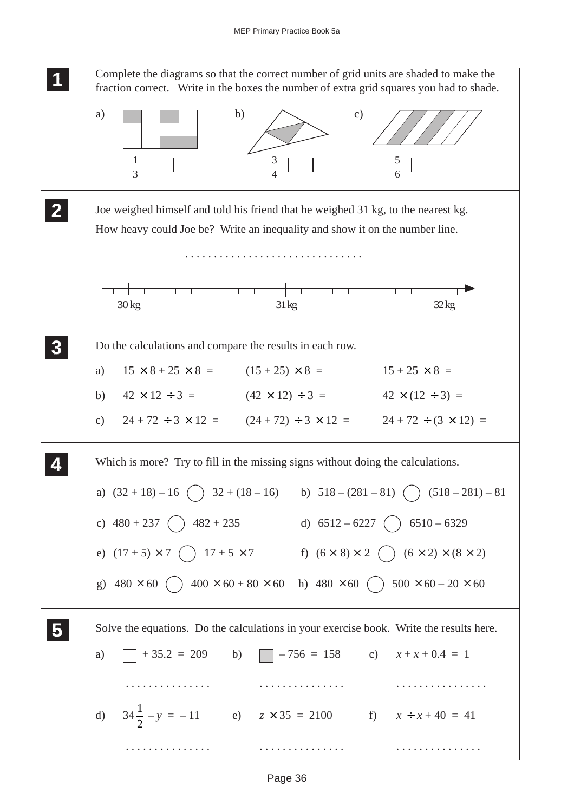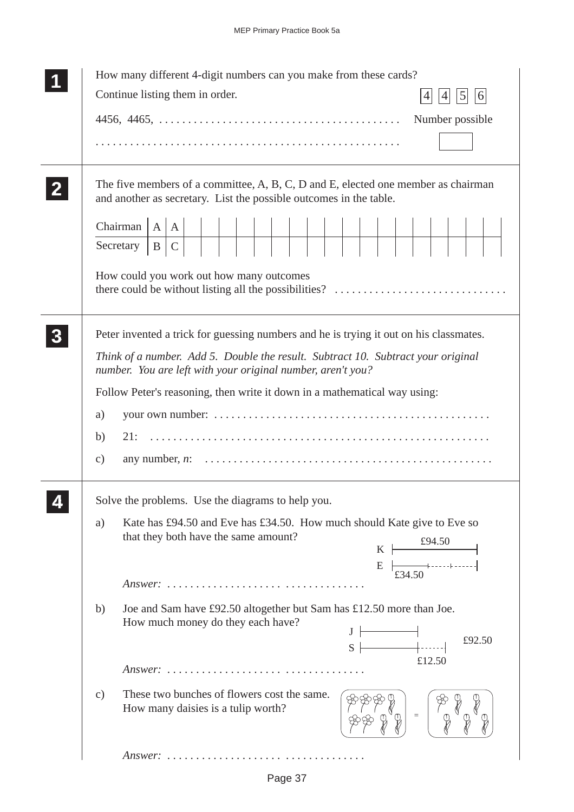| How many different 4-digit numbers can you make from these cards?                                                                                                                                                                                                                                                                                                                                                                                                                                                                                                              |
|--------------------------------------------------------------------------------------------------------------------------------------------------------------------------------------------------------------------------------------------------------------------------------------------------------------------------------------------------------------------------------------------------------------------------------------------------------------------------------------------------------------------------------------------------------------------------------|
| Continue listing them in order.<br>6<br>4<br>$\mathcal{L}$                                                                                                                                                                                                                                                                                                                                                                                                                                                                                                                     |
| Number possible                                                                                                                                                                                                                                                                                                                                                                                                                                                                                                                                                                |
|                                                                                                                                                                                                                                                                                                                                                                                                                                                                                                                                                                                |
| The five members of a committee, A, B, C, D and E, elected one member as chairman<br>and another as secretary. List the possible outcomes in the table.                                                                                                                                                                                                                                                                                                                                                                                                                        |
| Chairman $ A A $<br> C <br>Secretary $ B $                                                                                                                                                                                                                                                                                                                                                                                                                                                                                                                                     |
| How could you work out how many outcomes<br>there could be without listing all the possibilities?                                                                                                                                                                                                                                                                                                                                                                                                                                                                              |
| Peter invented a trick for guessing numbers and he is trying it out on his classmates.                                                                                                                                                                                                                                                                                                                                                                                                                                                                                         |
| Think of a number. Add 5. Double the result. Subtract 10. Subtract your original<br>number. You are left with your original number, aren't you?                                                                                                                                                                                                                                                                                                                                                                                                                                |
| Follow Peter's reasoning, then write it down in a mathematical way using:                                                                                                                                                                                                                                                                                                                                                                                                                                                                                                      |
| a)                                                                                                                                                                                                                                                                                                                                                                                                                                                                                                                                                                             |
| 21:<br>b)                                                                                                                                                                                                                                                                                                                                                                                                                                                                                                                                                                      |
| $\mathbf{c})$                                                                                                                                                                                                                                                                                                                                                                                                                                                                                                                                                                  |
| Solve the problems. Use the diagrams to help you.                                                                                                                                                                                                                                                                                                                                                                                                                                                                                                                              |
| Kate has £94.50 and Eve has £34.50. How much should Kate give to Eve so<br>a)<br>that they both have the same amount?<br>E                                                                                                                                                                                                                                                                                                                                                                                                                                                     |
| Answer:                                                                                                                                                                                                                                                                                                                                                                                                                                                                                                                                                                        |
| Joe and Sam have £92.50 altogether but Sam has £12.50 more than Joe.<br>b)<br>How much money do they each have?<br>$\begin{array}{c c c c c c} \hline \rule{0pt}{2ex} & & & & \\ \hline \rule{0pt}{2ex} & & & & \\ \hline \rule{0pt}{2ex} & & & & \\ \hline \rule{0pt}{2ex} & & & & \\ \hline \rule{0pt}{2ex} & & & & \\ \hline \rule{0pt}{2ex} & & & & \\ \hline \rule{0pt}{2ex} & & & & \\ \hline \rule{0pt}{2ex} & & & & \\ \hline \rule{0pt}{2ex} & & & & \\ \hline \rule{0pt}{2ex} & & & & \\ \hline \rule{0pt}{2ex} & & & & \\ \hline \rule{0pt}{2ex} & & & &$<br>£92.50 |
| £12.50<br>Answer:                                                                                                                                                                                                                                                                                                                                                                                                                                                                                                                                                              |
| These two bunches of flowers cost the same.<br>$\mathbf{c})$<br>How many daisies is a tulip worth?                                                                                                                                                                                                                                                                                                                                                                                                                                                                             |
| $Answer: \ldots \ldots \ldots \ldots \ldots \ldots \ldots \ldots \ldots \ldots$                                                                                                                                                                                                                                                                                                                                                                                                                                                                                                |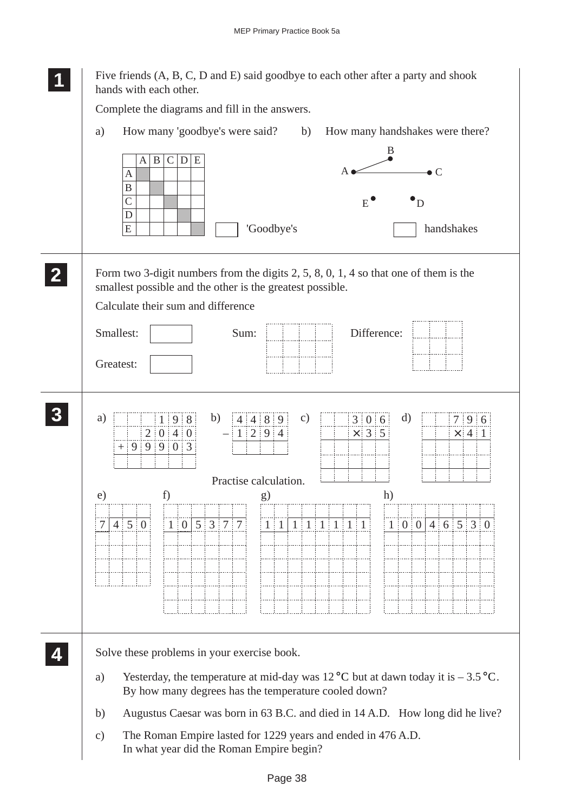| Five friends (A, B, C, D and E) said goodbye to each other after a party and shook<br>hands with each other.                                                                              |
|-------------------------------------------------------------------------------------------------------------------------------------------------------------------------------------------|
| Complete the diagrams and fill in the answers.                                                                                                                                            |
| How many 'goodbye's were said?<br>How many handshakes were there?<br>a)<br>b)                                                                                                             |
| B<br>$\mathbf{B}$<br> C <br>$\mathbf D$<br>E<br>A<br>$\bullet$ C<br>$\mathbf{A}$<br>$\overline{B}$<br>$\mathsf{C}$<br>E<br>D<br>D<br>E<br>'Goodbye's<br>handshakes                        |
| Form two 3-digit numbers from the digits $2, 5, 8, 0, 1, 4$ so that one of them is the<br>smallest possible and the other is the greatest possible.<br>Calculate their sum and difference |
| Smallest:<br>Sum:<br>Difference:                                                                                                                                                          |
| Greatest:                                                                                                                                                                                 |
| b)<br>d)<br>a)<br>4 4 8 9<br>c)<br>3   0   6<br>1:9:8<br>7 9 6<br>2 0 4 0<br>1 2 9 4<br>$\times$ 3 5<br>$\times$ 4 1<br>$+99903$                                                          |
| Practise calculation.<br>h)<br>e)<br>f)<br>g)                                                                                                                                             |
| $1   0   5   3   7   7$ $1   1   1   1   1   1   1$<br>100146530<br>$4 \ 5 \ 0$<br>7 <sup>1</sup><br>11111                                                                                |
|                                                                                                                                                                                           |
| Solve these problems in your exercise book.                                                                                                                                               |
| Yesterday, the temperature at mid-day was $12^{\circ}$ C but at dawn today it is $-3.5^{\circ}$ C.<br>a)<br>By how many degrees has the temperature cooled down?                          |
| Augustus Caesar was born in 63 B.C. and died in 14 A.D. How long did he live?<br>b)                                                                                                       |
| The Roman Empire lasted for 1229 years and ended in 476 A.D.<br>$\mathbf{c})$<br>In what year did the Roman Empire begin?                                                                 |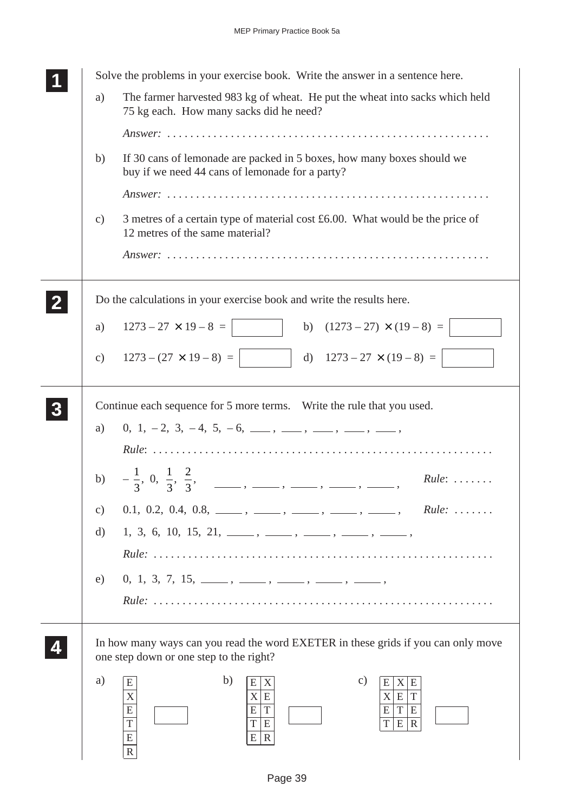| Solve the problems in your exercise book. Write the answer in a sentence here.                                                                                                                                                                  |
|-------------------------------------------------------------------------------------------------------------------------------------------------------------------------------------------------------------------------------------------------|
| The farmer harvested 983 kg of wheat. He put the wheat into sacks which held<br>a)<br>75 kg each. How many sacks did he need?                                                                                                                   |
|                                                                                                                                                                                                                                                 |
| If 30 cans of lemonade are packed in 5 boxes, how many boxes should we<br>b)<br>buy if we need 44 cans of lemonade for a party?                                                                                                                 |
|                                                                                                                                                                                                                                                 |
| 3 metres of a certain type of material cost $£6.00$ . What would be the price of<br>$\mathcal{C}$ )<br>12 metres of the same material?                                                                                                          |
|                                                                                                                                                                                                                                                 |
| Do the calculations in your exercise book and write the results here.                                                                                                                                                                           |
| $1273 - 27 \times 19 - 8 =$<br>b) $(1273 - 27) \times (19 - 8) =$<br>a)                                                                                                                                                                         |
| c) $1273 - (27 \times 19 - 8) =$ d) $1273 - 27 \times (19 - 8) =$                                                                                                                                                                               |
| Continue each sequence for 5 more terms. Write the rule that you used.                                                                                                                                                                          |
| $0, 1, -2, 3, -4, 5, -6, \_\_\_\_$ , $\_\_\_\_$ , $\_\_\_$ , $\_\_\_$<br>a)                                                                                                                                                                     |
|                                                                                                                                                                                                                                                 |
| b) $-\frac{1}{3}$ , 0, $\frac{1}{3}$ , $\frac{2}{3}$ , _____, ____, ____, ____, ____,<br>$Rule: \ldots \ldots$                                                                                                                                  |
| $0.1, 0.2, 0.4, 0.8, \_\_\_\_$ , $\_\_\_\_\_$ , $\_\_\_\_$ , $\_\_\_\_$ , $\_\_\_\_$<br>$Rule: \ldots \ldots$<br>$\mathbf{c})$                                                                                                                  |
| d)<br>$1, 3, 6, 10, 15, 21, \_\_\_\_\_$ , $\_\_\_\_\_$ , $\_\_\_\_\_$ , $\_\_\_\_\_$                                                                                                                                                            |
|                                                                                                                                                                                                                                                 |
| $0, 1, 3, 7, 15, \_\_\_\_\_$ , $\_\_\_\_\_$ , $\_\_\_\_$ , $\_\_\_\_$ , $\_\_\_\_$<br>e)                                                                                                                                                        |
|                                                                                                                                                                                                                                                 |
| In how many ways can you read the word EXETER in these grids if you can only move<br>one step down or one step to the right?                                                                                                                    |
| b)<br>a)<br>$\mathcal{C}$ )<br>E<br>E<br>E<br>$\vert X \vert$<br>E<br>X<br>X<br>X<br>X <sup>2</sup><br>E<br>T<br>E<br>${\bf E}$<br>$\mathbf T$<br>E<br>T<br>E<br>E<br>$\overline{T}$<br>$\overline{E}$<br>T<br>T E R<br>E R<br>E<br>$\mathbf R$ |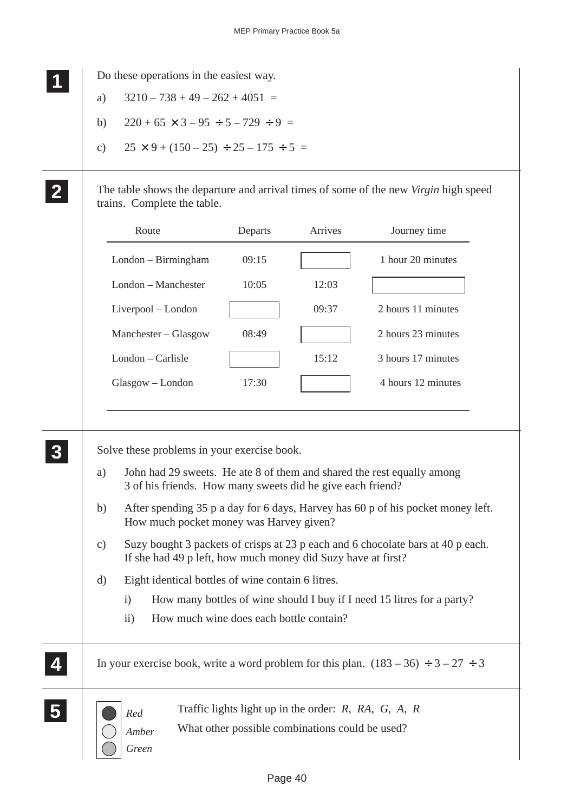**1 11 11**

> **2 22 22**

 $\overline{\phantom{a}}$ 

Do these operations in the easiest way.

- a)  $3210 738 + 49 262 + 4051 =$
- b)  $220 + 65 \times 3 95 \div 5 729 \div 9 =$
- c)  $25 \times 9 + (150 25) \div 25 175 \div 5 =$

The table shows the departure and arrival times of some of the new *Virgin* high speed trains. Complete the table.

|                      | Route                                                                                                                                                                                                                                                                                                                                                                                                                                                                                                                     | Departs | Arrives                                                                                                               | Journey time                                                                               |  |  |  |
|----------------------|---------------------------------------------------------------------------------------------------------------------------------------------------------------------------------------------------------------------------------------------------------------------------------------------------------------------------------------------------------------------------------------------------------------------------------------------------------------------------------------------------------------------------|---------|-----------------------------------------------------------------------------------------------------------------------|--------------------------------------------------------------------------------------------|--|--|--|
|                      | London - Birmingham                                                                                                                                                                                                                                                                                                                                                                                                                                                                                                       | 09:15   |                                                                                                                       | 1 hour 20 minutes                                                                          |  |  |  |
|                      | London - Manchester                                                                                                                                                                                                                                                                                                                                                                                                                                                                                                       | 10:05   | 12:03                                                                                                                 |                                                                                            |  |  |  |
|                      | Liverpool - London                                                                                                                                                                                                                                                                                                                                                                                                                                                                                                        |         | 09:37                                                                                                                 | 2 hours 11 minutes                                                                         |  |  |  |
|                      | Manchester - Glasgow                                                                                                                                                                                                                                                                                                                                                                                                                                                                                                      | 08:49   |                                                                                                                       | 2 hours 23 minutes                                                                         |  |  |  |
|                      | London - Carlisle                                                                                                                                                                                                                                                                                                                                                                                                                                                                                                         |         | 15:12                                                                                                                 | 3 hours 17 minutes                                                                         |  |  |  |
|                      | Glasgow - London                                                                                                                                                                                                                                                                                                                                                                                                                                                                                                          | 17:30   |                                                                                                                       | 4 hours 12 minutes                                                                         |  |  |  |
|                      |                                                                                                                                                                                                                                                                                                                                                                                                                                                                                                                           |         |                                                                                                                       |                                                                                            |  |  |  |
| a)<br>b)<br>c)<br>d) | Solve these problems in your exercise book.<br>John had 29 sweets. He ate 8 of them and shared the rest equally among<br>3 of his friends. How many sweets did he give each friend?<br>After spending 35 p a day for 6 days, Harvey has 60 p of his pocket money left.<br>How much pocket money was Harvey given?<br>Suzy bought 3 packets of crisps at 23 p each and 6 chocolate bars at 40 p each.<br>If she had 49 p left, how much money did Suzy have at first?<br>Eight identical bottles of wine contain 6 litres. |         |                                                                                                                       |                                                                                            |  |  |  |
|                      | $\mathbf{i}$                                                                                                                                                                                                                                                                                                                                                                                                                                                                                                              |         |                                                                                                                       | How many bottles of wine should I buy if I need 15 litres for a party?                     |  |  |  |
|                      | How much wine does each bottle contain?<br>$\overline{ii}$ )                                                                                                                                                                                                                                                                                                                                                                                                                                                              |         |                                                                                                                       |                                                                                            |  |  |  |
|                      |                                                                                                                                                                                                                                                                                                                                                                                                                                                                                                                           |         |                                                                                                                       | In your exercise book, write a word problem for this plan. $(183 – 36) \div 3 – 27 \div 3$ |  |  |  |
|                      | Red<br>Amber<br>Green                                                                                                                                                                                                                                                                                                                                                                                                                                                                                                     |         | Traffic lights light up in the order: $R$ , $RA$ , $G$ , $A$ , $R$<br>What other possible combinations could be used? |                                                                                            |  |  |  |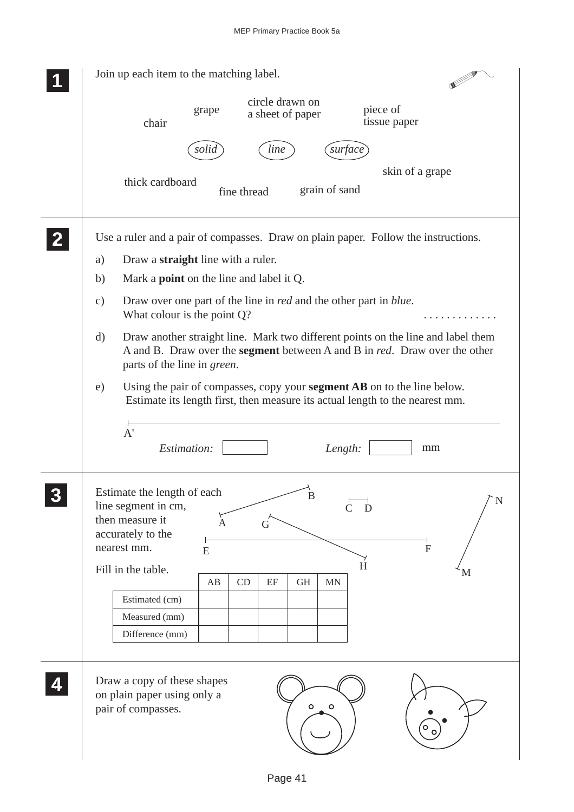|              | Join up each item to the matching label.                                                                                                                                                                                                                                                                                       |
|--------------|--------------------------------------------------------------------------------------------------------------------------------------------------------------------------------------------------------------------------------------------------------------------------------------------------------------------------------|
|              | circle drawn on<br>piece of<br>grape<br>a sheet of paper<br>tissue paper<br>chair                                                                                                                                                                                                                                              |
|              | solid<br>line<br>surface                                                                                                                                                                                                                                                                                                       |
|              | skin of a grape<br>thick cardboard<br>grain of sand<br>fine thread                                                                                                                                                                                                                                                             |
|              | Use a ruler and a pair of compasses. Draw on plain paper. Follow the instructions.<br>Draw a straight line with a ruler.<br>a)                                                                                                                                                                                                 |
|              | Mark a <b>point</b> on the line and label it Q.<br>b)                                                                                                                                                                                                                                                                          |
|              | Draw over one part of the line in <i>red</i> and the other part in <i>blue</i> .<br>$\mathbf{c})$<br>What colour is the point $Q$ ?                                                                                                                                                                                            |
|              | Draw another straight line. Mark two different points on the line and label them<br>d)<br>A and B. Draw over the <b>segment</b> between A and B in <i>red</i> . Draw over the other<br>parts of the line in green.                                                                                                             |
|              | Using the pair of compasses, copy your <b>segment AB</b> on to the line below.<br>e)<br>Estimate its length first, then measure its actual length to the nearest mm.                                                                                                                                                           |
|              | A'<br>Estimation:<br>Length:<br>mm                                                                                                                                                                                                                                                                                             |
| $\mathbf{R}$ | Estimate the length of each<br>$\, {\bf B}$<br>N<br>line segment in cm,<br>$\dot{\mathbf{D}}$<br>then measure it<br>A<br>G<br>accurately to the<br>nearest mm.<br>$\overline{F}$<br>${\bf E}$<br>H<br>Fill in the table.<br>М<br>CD<br>$\rm EF$<br>AB<br><b>GH</b><br>MN<br>Estimated (cm)<br>Measured (mm)<br>Difference (mm) |
|              | Draw a copy of these shapes<br>on plain paper using only a<br>$\circ$<br>$\circ$<br>pair of compasses.                                                                                                                                                                                                                         |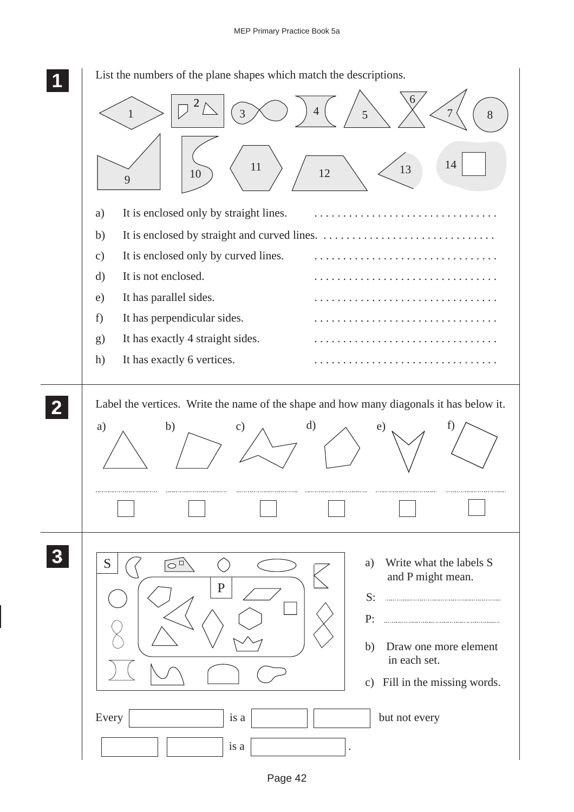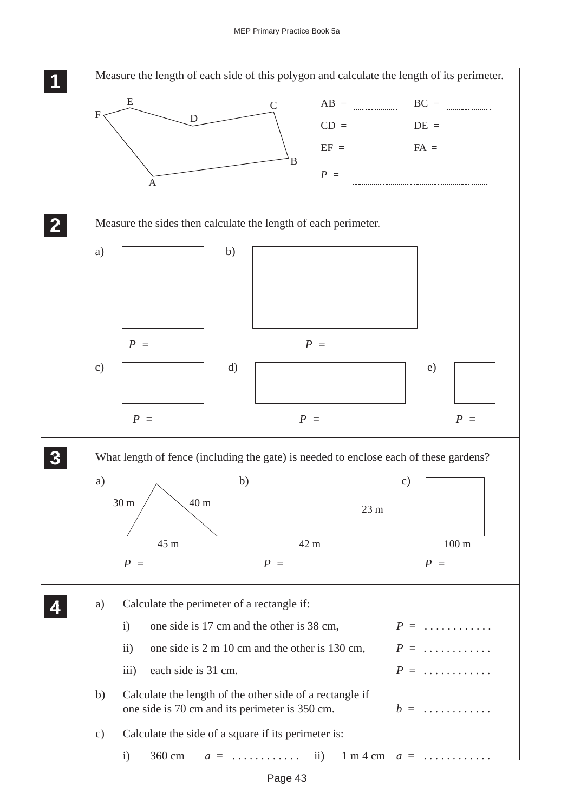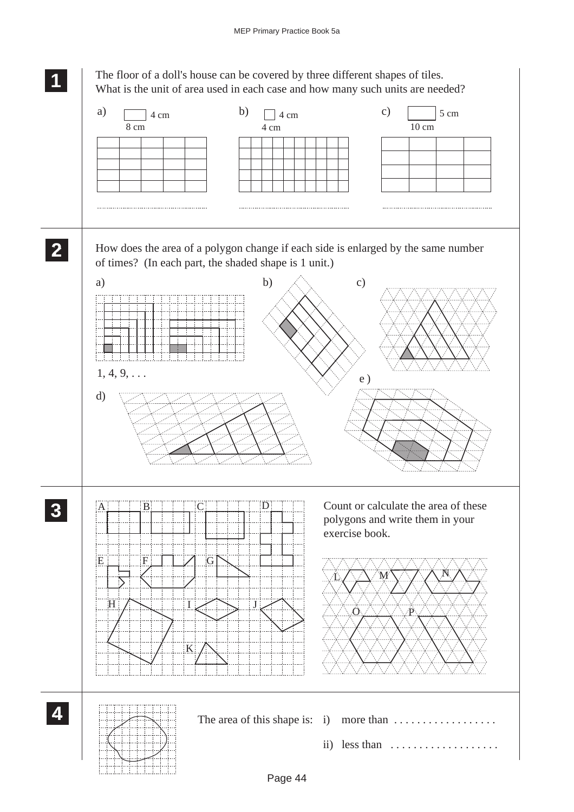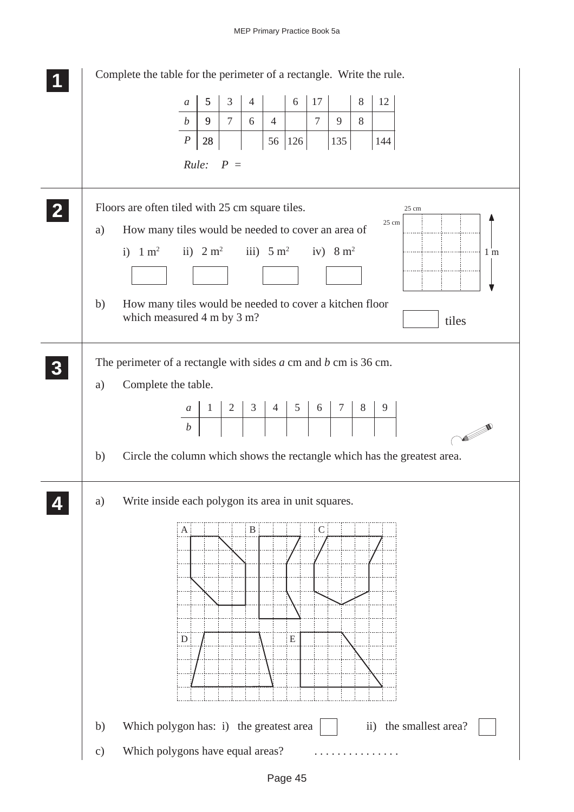| Complete the table for the perimeter of a rectangle. Write the rule. |                                                                                                                             |                                    |                     |                 |                  |                      |       |                |                                                                                                                                                                                                                                                         |           |       |                                                                          |
|----------------------------------------------------------------------|-----------------------------------------------------------------------------------------------------------------------------|------------------------------------|---------------------|-----------------|------------------|----------------------|-------|----------------|---------------------------------------------------------------------------------------------------------------------------------------------------------------------------------------------------------------------------------------------------------|-----------|-------|--------------------------------------------------------------------------|
|                                                                      |                                                                                                                             | $\mathfrak a$                      | 5                   | $\mathfrak{Z}$  | $\overline{4}$   |                      | $6\,$ | 17             |                                                                                                                                                                                                                                                         | $8\,$     | 12    |                                                                          |
|                                                                      |                                                                                                                             | $\boldsymbol{b}$                   | 9                   | $7\overline{ }$ | 6                | $\overline{4}$       |       | $\overline{7}$ | 9                                                                                                                                                                                                                                                       | 8         |       |                                                                          |
|                                                                      |                                                                                                                             | $\boldsymbol{P}$                   | $28\,$              |                 |                  | 56                   | 126   |                | 135                                                                                                                                                                                                                                                     |           | 144   |                                                                          |
|                                                                      |                                                                                                                             | Rule:                              |                     | $P =$           |                  |                      |       |                |                                                                                                                                                                                                                                                         |           |       |                                                                          |
| a)                                                                   | Floors are often tiled with 25 cm square tiles.<br>How many tiles would be needed to cover an area of<br>i) $1 \text{ m}^2$ |                                    | ii) $2 \text{ m}^2$ |                 |                  | iii) $5 \text{ m}^2$ |       |                | iv) $8 \text{ m}^2$                                                                                                                                                                                                                                     |           | 25 cm | 25 cm<br>1 <sub>m</sub>                                                  |
|                                                                      |                                                                                                                             |                                    |                     |                 |                  |                      |       |                |                                                                                                                                                                                                                                                         |           |       |                                                                          |
| b)                                                                   | How many tiles would be needed to cover a kitchen floor<br>which measured 4 m by 3 m?                                       |                                    |                     |                 |                  |                      |       |                |                                                                                                                                                                                                                                                         |           |       | tiles                                                                    |
| a)                                                                   | The perimeter of a rectangle with sides $a$ cm and $b$ cm is 36 cm.<br>Complete the table.                                  |                                    |                     |                 |                  |                      |       |                |                                                                                                                                                                                                                                                         |           |       |                                                                          |
|                                                                      |                                                                                                                             | $\mathfrak{a}$<br>$\boldsymbol{b}$ |                     |                 |                  |                      |       |                | $\begin{array}{ c c c c c c c c c }\n\hline\n\text{1} & \text{2} & \text{3} & \text{4} & \text{5} & \text{6} & \text{7} & \text{8}\n\hline\n\text{1} & \text{2} & \text{3} & \text{4} & \text{5} & \text{6} & \text{7} & \text{8}\n\hline\n\end{array}$ |           | 9     |                                                                          |
| b)                                                                   |                                                                                                                             |                                    |                     |                 |                  |                      |       |                |                                                                                                                                                                                                                                                         |           |       | Circle the column which shows the rectangle which has the greatest area. |
| a)                                                                   | Write inside each polygon its area in unit squares.                                                                         | A<br>D                             |                     |                 | $\boldsymbol{B}$ |                      | E     | $\mathsf{C}$   |                                                                                                                                                                                                                                                         |           |       |                                                                          |
| b)<br>$\mathbf{c})$                                                  | Which polygon has: i) the greatest area<br>Which polygons have equal areas?                                                 |                                    |                     |                 |                  |                      |       |                |                                                                                                                                                                                                                                                         | $\rm ii)$ |       | the smallest area?                                                       |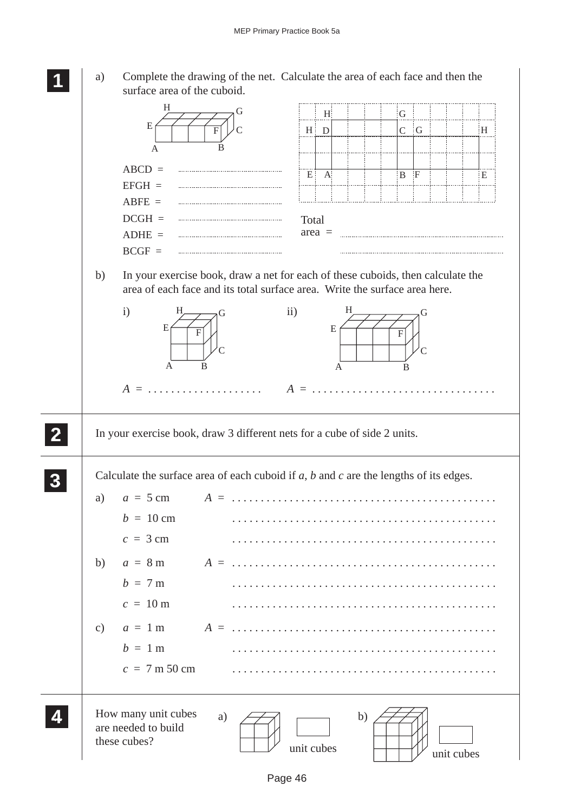

a) Complete the drawing of the net. Calculate the area of each face and then the surface area of the cuboid.

|          | H<br>E<br>A                                                                                                                                                                                                | B     |                | $H_1$<br>$H \mid D$      |    | G<br>$\mathsf{C}$ | $-G$         |            | H. |
|----------|------------------------------------------------------------------------------------------------------------------------------------------------------------------------------------------------------------|-------|----------------|--------------------------|----|-------------------|--------------|------------|----|
|          | $ABCD =$<br>$EFGH =$<br>$ABFE =$<br>$DCGH =$<br>$ADHE =$<br>$BCGF =$                                                                                                                                       |       | $E^+$<br>Total | $\mathbf{A}$<br>$area =$ |    | $\mathbf{B}$      | $\mathbf{F}$ |            | E  |
| b)       | In your exercise book, draw a net for each of these cuboids, then calculate the<br>area of each face and its total surface area. Write the surface area here.<br>$\mathbf{i}$<br>Н<br>E<br>F<br>A<br>$A =$ | B     | $\rm ii)$      | H<br>E<br>A              |    | F<br>B            |              |            |    |
|          | In your exercise book, draw 3 different nets for a cube of side 2 units.                                                                                                                                   |       |                |                          |    |                   |              |            |    |
| a)<br>b) | Calculate the surface area of each cuboid if $a$ , $b$ and $c$ are the lengths of its edges.<br>$a = 5$ cm<br>$b = 10 \text{ cm}$<br>$c = 3$ cm<br>$a = 8$ m                                               | $A =$ |                |                          |    |                   |              |            |    |
| c)       | $b = 7m$<br>$c = 10 \text{ m}$<br>$a = 1$ m<br>$b = 1$ m<br>$c = 7$ m 50 cm                                                                                                                                |       |                |                          |    |                   |              |            |    |
|          | How many unit cubes<br>are needed to build<br>these cubes?                                                                                                                                                 | a)    | unit cubes     |                          | b) |                   |              | unit cubes |    |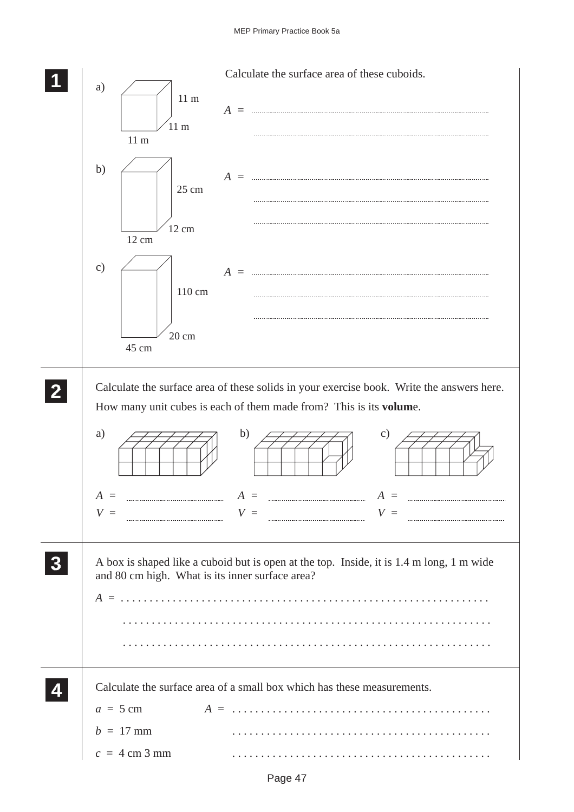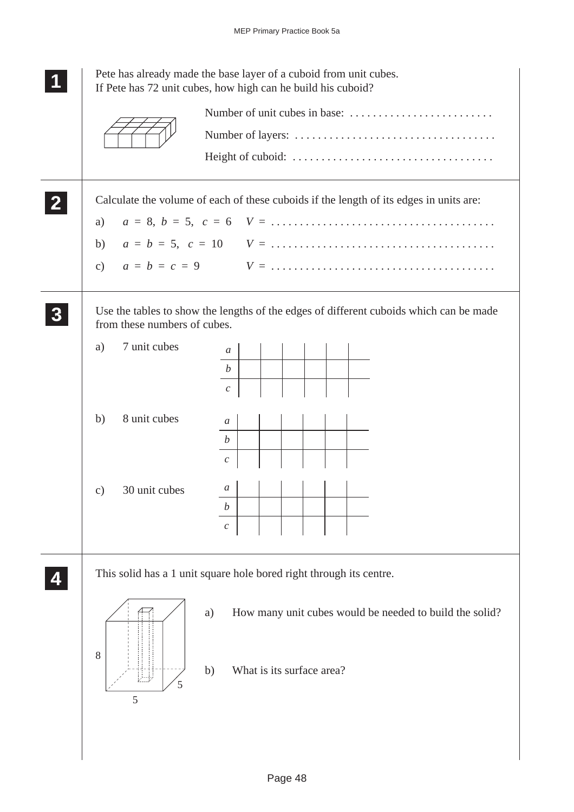|              | Pete has already made the base layer of a cuboid from unit cubes.<br>If Pete has 72 unit cubes, how high can he build his cuboid?                                                                      |
|--------------|--------------------------------------------------------------------------------------------------------------------------------------------------------------------------------------------------------|
|              |                                                                                                                                                                                                        |
| $\mathbf{2}$ | Calculate the volume of each of these cuboids if the length of its edges in units are:<br>a)<br>b)                                                                                                     |
|              | Use the tables to show the lengths of the edges of different cuboids which can be made<br>from these numbers of cubes.<br>7 unit cubes<br>a)<br>$\mathfrak{a}$<br>$\boldsymbol{b}$<br>$\boldsymbol{c}$ |
|              | 8 unit cubes<br>b)<br>$\mathfrak a$<br>$\boldsymbol{b}$<br>$\boldsymbol{c}$                                                                                                                            |
|              | a<br>30 unit cubes<br>$\mathbf{c})$<br>b<br>$\mathcal C$                                                                                                                                               |
|              | This solid has a 1 unit square hole bored right through its centre.<br>How many unit cubes would be needed to build the solid?<br>a)<br>8<br>What is its surface area?<br>b)<br>5                      |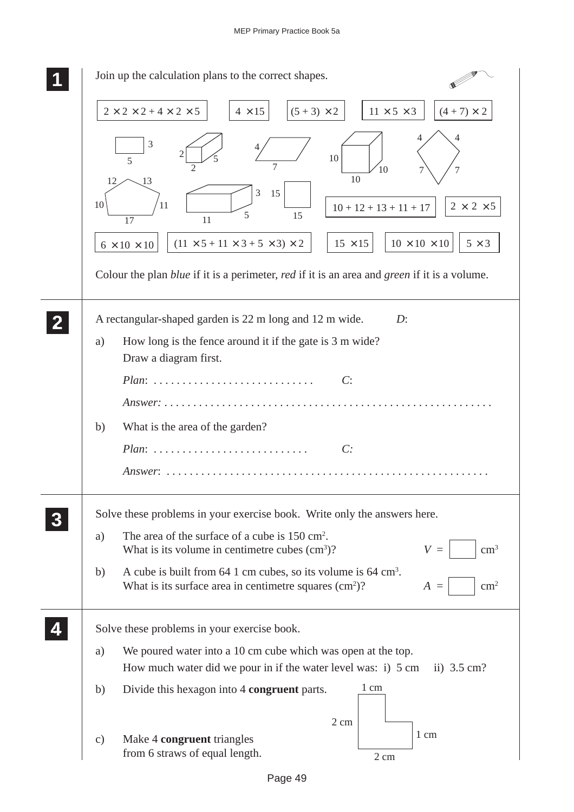| Join up the calculation plans to the correct shapes.                                                                                                               |
|--------------------------------------------------------------------------------------------------------------------------------------------------------------------|
| $2 \times 2 \times 2 + 4 \times 2 \times 5$<br>$(5 + 3) \times 2$<br>$11 \times 5 \times 3$<br>$4 \times 15$<br>$(4 + 7) \times 2$                                 |
| $\mathfrak{Z}$<br>10<br>5<br>7<br>10<br>10<br>12<br>13                                                                                                             |
| 3<br>15<br>10<br>11<br>$2 \times 2 \times 5$<br>$10 + 12 + 13 + 11 + 17$<br>5<br>15<br>17<br>11                                                                    |
| $10\times10\times10$<br>$(11 \times 5 + 11 \times 3 + 5 \times 3) \times 2$<br>$15 \times 15$<br>$5 \times 3$<br>$6\times10\times10$                               |
| Colour the plan <i>blue</i> if it is a perimeter, <i>red</i> if it is an area and <i>green</i> if it is a volume.                                                  |
| A rectangular-shaped garden is 22 m long and 12 m wide.<br>$D$ :                                                                                                   |
| How long is the fence around it if the gate is 3 m wide?<br>a)<br>Draw a diagram first.                                                                            |
| C:<br>$Plan:$                                                                                                                                                      |
| Answer: $\ldots \ldots \ldots$                                                                                                                                     |
| What is the area of the garden?<br>b)<br>C:<br>$Plan:$                                                                                                             |
| Answer: $\ldots$                                                                                                                                                   |
| Solve these problems in your exercise book. Write only the answers here.                                                                                           |
| The area of the surface of a cube is 150 cm <sup>2</sup> .<br>a)<br>$\text{cm}^3$<br>What is its volume in centimetre cubes $(cm3)$ ?<br>$V =$                     |
| A cube is built from 64 1 cm cubes, so its volume is 64 cm <sup>3</sup> .<br>b)<br>What is its surface area in centimetre squares $(cm2)$ ?<br>$\rm cm^2$<br>$A =$ |
| Solve these problems in your exercise book.                                                                                                                        |
| We poured water into a 10 cm cube which was open at the top.<br>a)<br>How much water did we pour in if the water level was: i) 5 cm<br>ii) $3.5 \text{ cm}$ ?      |
| 1 cm<br>Divide this hexagon into 4 congruent parts.<br>b)                                                                                                          |
| $2 \text{ cm}$<br>1 cm<br>Make 4 congruent triangles<br>$\mathbf{c})$<br>from 6 straws of equal length.<br>2 cm                                                    |